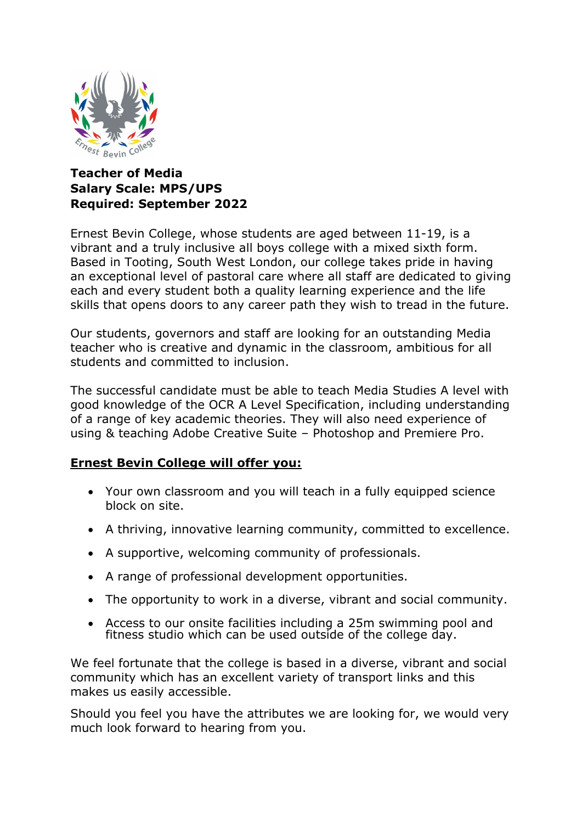

# **Teacher of Media Salary Scale: MPS/UPS Required: September 2022**

Ernest Bevin College, whose students are aged between 11-19, is a vibrant and a truly inclusive all boys college with a mixed sixth form. Based in Tooting, South West London, our college takes pride in having an exceptional level of pastoral care where all staff are dedicated to giving each and every student both a quality learning experience and the life skills that opens doors to any career path they wish to tread in the future.

Our students, governors and staff are looking for an outstanding Media teacher who is creative and dynamic in the classroom, ambitious for all students and committed to inclusion.

The successful candidate must be able to teach Media Studies A level with good knowledge of the OCR A Level Specification, including understanding of a range of key academic theories. They will also need experience of using & teaching Adobe Creative Suite – Photoshop and Premiere Pro.

## **Ernest Bevin College will offer you:**

- Your own classroom and you will teach in a fully equipped science block on site.
- A thriving, innovative learning community, committed to excellence.
- A supportive, welcoming community of professionals.
- A range of professional development opportunities.
- The opportunity to work in a diverse, vibrant and social community.
- Access to our onsite facilities including a 25m swimming pool and fitness studio which can be used outside of the college day.

We feel fortunate that the college is based in a diverse, vibrant and social community which has an excellent variety of transport links and this makes us easily accessible.

Should you feel you have the attributes we are looking for, we would very much look forward to hearing from you.